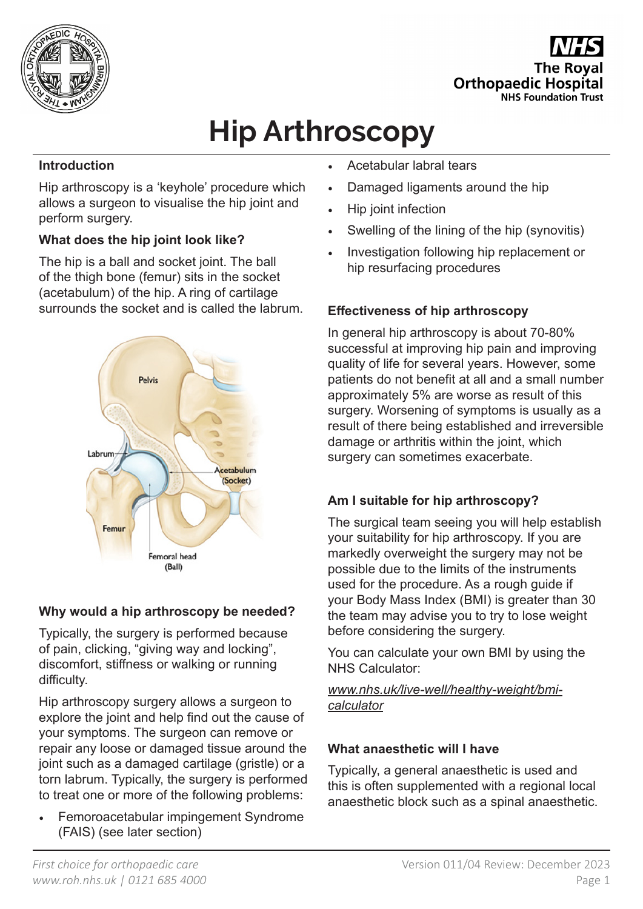

**The Roval Orthopaedic Hospital NHS Foundation Trust** 

# **Hip Arthroscopy**

#### **Introduction**

Hip arthroscopy is a 'keyhole' procedure which allows a surgeon to visualise the hip joint and perform surgery.

## **What does the hip joint look like?**

The hip is a ball and socket joint. The ball of the thigh bone (femur) sits in the socket (acetabulum) of the hip. A ring of cartilage surrounds the socket and is called the labrum.



#### **Why would a hip arthroscopy be needed?**

Typically, the surgery is performed because of pain, clicking, "giving way and locking", discomfort, stiffness or walking or running difficulty.

Hip arthroscopy surgery allows a surgeon to explore the joint and help find out the cause of your symptoms. The surgeon can remove or repair any loose or damaged tissue around the joint such as a damaged cartilage (gristle) or a torn labrum. Typically, the surgery is performed to treat one or more of the following problems:

• Femoroacetabular impingement Syndrome (FAIS) (see later section)

- Acetabular labral tears
- Damaged ligaments around the hip
- Hip joint infection
- Swelling of the lining of the hip (synovitis)
- Investigation following hip replacement or hip resurfacing procedures

## **Effectiveness of hip arthroscopy**

In general hip arthroscopy is about 70-80% successful at improving hip pain and improving quality of life for several years. However, some patients do not benefit at all and a small number approximately 5% are worse as result of this surgery. Worsening of symptoms is usually as a result of there being established and irreversible damage or arthritis within the joint, which surgery can sometimes exacerbate.

## **Am I suitable for hip arthroscopy?**

The surgical team seeing you will help establish your suitability for hip arthroscopy. If you are markedly overweight the surgery may not be possible due to the limits of the instruments used for the procedure. As a rough guide if your Body Mass Index (BMI) is greater than 30 the team may advise you to try to lose weight before considering the surgery.

You can calculate your own BMI by using the NHS Calculator:

*www.nhs.uk/live-well/healthy-weight/bmicalculator*

#### **What anaesthetic will I have**

Typically, a general anaesthetic is used and this is often supplemented with a regional local anaesthetic block such as a spinal anaesthetic.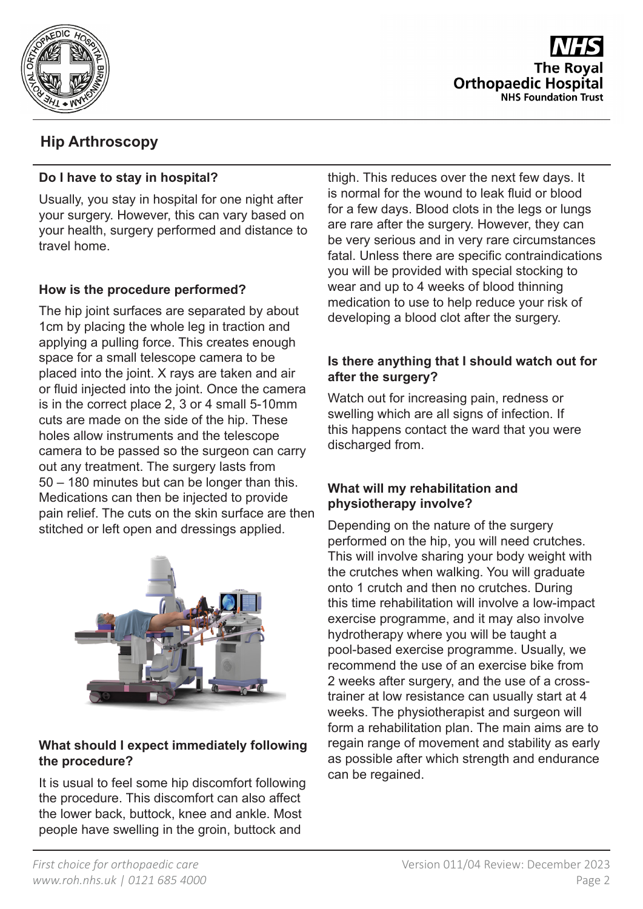

**The Royal Orthopaedic Hospital NHS Foundation Trust** 

# **Hip Arthroscopy**

#### **Do I have to stay in hospital?**

Usually, you stay in hospital for one night after your surgery. However, this can vary based on your health, surgery performed and distance to travel home.

#### **How is the procedure performed?**

The hip joint surfaces are separated by about 1cm by placing the whole leg in traction and applying a pulling force. This creates enough space for a small telescope camera to be placed into the joint. X rays are taken and air or fluid injected into the joint. Once the camera is in the correct place 2, 3 or 4 small 5-10mm cuts are made on the side of the hip. These holes allow instruments and the telescope camera to be passed so the surgeon can carry out any treatment. The surgery lasts from 50 – 180 minutes but can be longer than this. Medications can then be injected to provide pain relief. The cuts on the skin surface are then stitched or left open and dressings applied.



#### **What should I expect immediately following the procedure?**

It is usual to feel some hip discomfort following the procedure. This discomfort can also affect the lower back, buttock, knee and ankle. Most people have swelling in the groin, buttock and

thigh. This reduces over the next few days. It is normal for the wound to leak fluid or blood for a few days. Blood clots in the legs or lungs are rare after the surgery. However, they can be very serious and in very rare circumstances fatal. Unless there are specific contraindications you will be provided with special stocking to wear and up to 4 weeks of blood thinning medication to use to help reduce your risk of developing a blood clot after the surgery.

#### **Is there anything that I should watch out for after the surgery?**

Watch out for increasing pain, redness or swelling which are all signs of infection. If this happens contact the ward that you were discharged from.

#### **What will my rehabilitation and physiotherapy involve?**

Depending on the nature of the surgery performed on the hip, you will need crutches. This will involve sharing your body weight with the crutches when walking. You will graduate onto 1 crutch and then no crutches. During this time rehabilitation will involve a low-impact exercise programme, and it may also involve hydrotherapy where you will be taught a pool-based exercise programme. Usually, we recommend the use of an exercise bike from 2 weeks after surgery, and the use of a crosstrainer at low resistance can usually start at 4 weeks. The physiotherapist and surgeon will form a rehabilitation plan. The main aims are to regain range of movement and stability as early as possible after which strength and endurance can be regained.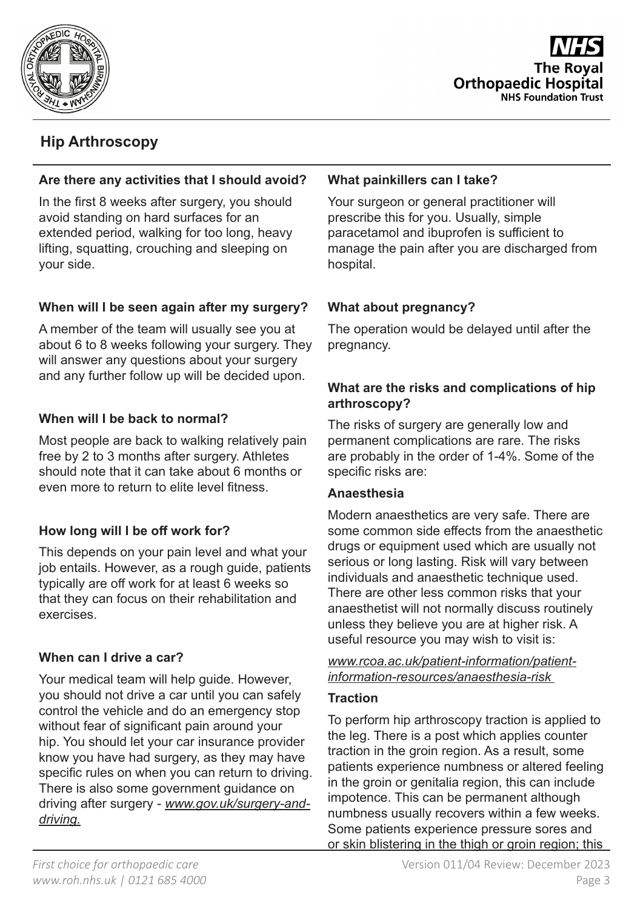



# **Hip Arthroscopy**

#### **Are there any activities that I should avoid?**

In the first 8 weeks after surgery, you should avoid standing on hard surfaces for an extended period, walking for too long, heavy lifting, squatting, crouching and sleeping on your side.

#### **When will I be seen again after my surgery?**

A member of the team will usually see you at about 6 to 8 weeks following your surgery. They will answer any questions about your surgery and any further follow up will be decided upon.

## **When will I be back to normal?**

Most people are back to walking relatively pain free by 2 to 3 months after surgery. Athletes should note that it can take about 6 months or even more to return to elite level fitness.

#### **How long will I be off work for?**

This depends on your pain level and what your job entails. However, as a rough guide, patients typically are off work for at least 6 weeks so that they can focus on their rehabilitation and exercises.

#### **When can I drive a car?**

Your medical team will help guide. However, you should not drive a car until you can safely control the vehicle and do an emergency stop without fear of significant pain around your hip. You should let your car insurance provider know you have had surgery, as they may have specific rules on when you can return to driving. There is also some government guidance on driving after surgery - *www.gov.uk/surgery-anddriving.*

#### **What painkillers can I take?**

Your surgeon or general practitioner will prescribe this for you. Usually, simple paracetamol and ibuprofen is sufficient to manage the pain after you are discharged from hospital.

## **What about pregnancy?**

The operation would be delayed until after the pregnancy.

#### **What are the risks and complications of hip arthroscopy?**

The risks of surgery are generally low and permanent complications are rare. The risks are probably in the order of 1-4%. Some of the specific risks are:

#### **Anaesthesia**

Modern anaesthetics are very safe. There are some common side effects from the anaesthetic drugs or equipment used which are usually not serious or long lasting. Risk will vary between individuals and anaesthetic technique used. There are other less common risks that your anaesthetist will not normally discuss routinely unless they believe you are at higher risk. A useful resource you may wish to visit is:

*www.rcoa.ac.uk/patient-information/patientinformation-resources/anaesthesia-risk* 

#### **Traction**

To perform hip arthroscopy traction is applied to the leg. There is a post which applies counter traction in the groin region. As a result, some patients experience numbness or altered feeling in the groin or genitalia region, this can include impotence. This can be permanent although numbness usually recovers within a few weeks. Some patients experience pressure sores and or skin blistering in the thigh or groin region; this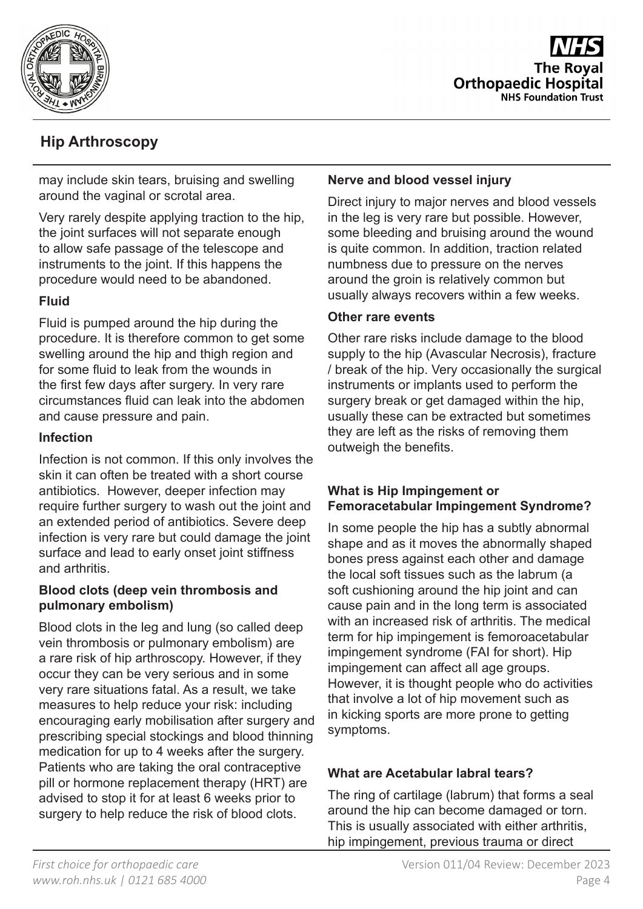

**The Roval Orthopaedic Hospital NHS Foundation Trust** 

# **Hip Arthroscopy**

may include skin tears, bruising and swelling around the vaginal or scrotal area.

Very rarely despite applying traction to the hip, the joint surfaces will not separate enough to allow safe passage of the telescope and instruments to the joint. If this happens the procedure would need to be abandoned.

#### **Fluid**

Fluid is pumped around the hip during the procedure. It is therefore common to get some swelling around the hip and thigh region and for some fluid to leak from the wounds in the first few days after surgery. In very rare circumstances fluid can leak into the abdomen and cause pressure and pain.

#### **Infection**

Infection is not common. If this only involves the skin it can often be treated with a short course antibiotics. However, deeper infection may require further surgery to wash out the joint and an extended period of antibiotics. Severe deep infection is very rare but could damage the joint surface and lead to early onset joint stiffness and arthritis.

#### **Blood clots (deep vein thrombosis and pulmonary embolism)**

Blood clots in the leg and lung (so called deep vein thrombosis or pulmonary embolism) are a rare risk of hip arthroscopy. However, if they occur they can be very serious and in some very rare situations fatal. As a result, we take measures to help reduce your risk: including encouraging early mobilisation after surgery and prescribing special stockings and blood thinning medication for up to 4 weeks after the surgery. Patients who are taking the oral contraceptive pill or hormone replacement therapy (HRT) are advised to stop it for at least 6 weeks prior to surgery to help reduce the risk of blood clots.

#### **Nerve and blood vessel injury**

Direct injury to major nerves and blood vessels in the leg is very rare but possible. However, some bleeding and bruising around the wound is quite common. In addition, traction related numbness due to pressure on the nerves around the groin is relatively common but usually always recovers within a few weeks.

#### **Other rare events**

Other rare risks include damage to the blood supply to the hip (Avascular Necrosis), fracture / break of the hip. Very occasionally the surgical instruments or implants used to perform the surgery break or get damaged within the hip, usually these can be extracted but sometimes they are left as the risks of removing them outweigh the benefits.

#### **What is Hip Impingement or Femoracetabular Impingement Syndrome?**

In some people the hip has a subtly abnormal shape and as it moves the abnormally shaped bones press against each other and damage the local soft tissues such as the labrum (a soft cushioning around the hip joint and can cause pain and in the long term is associated with an increased risk of arthritis. The medical term for hip impingement is femoroacetabular impingement syndrome (FAI for short). Hip impingement can affect all age groups. However, it is thought people who do activities that involve a lot of hip movement such as in kicking sports are more prone to getting symptoms.

#### **What are Acetabular labral tears?**

The ring of cartilage (labrum) that forms a seal around the hip can become damaged or torn. This is usually associated with either arthritis, hip impingement, previous trauma or direct